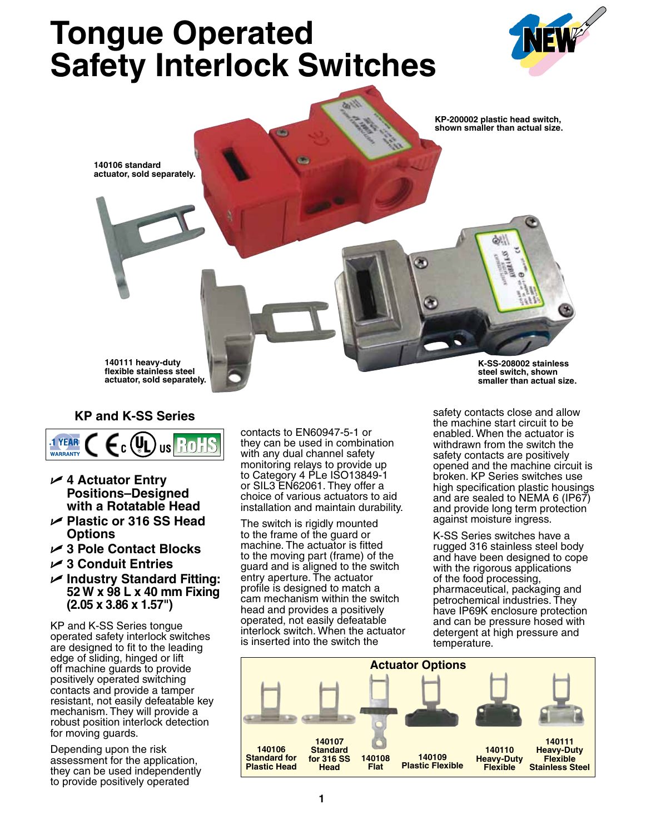# **Tongue Operated Safety Interlock Switches**





## **KP and K-SS Series**



- U **4 Actuator Entry Positions–Designed with a Rotatable Head**
- U **Plastic or 316 SS Head Options**
- U **3 Pole Contact Blocks**
- U **3 Conduit Entries**
- U **Industry Standard Fitting: 52 W x 98 L x 40 mm Fixing (2.05 x 3.86 x 1.57")**

KP and K-SS Series tongue operated safety interlock switches are designed to fit to the leading edge of sliding, hinged or lift off machine guards to provide positively operated switching contacts and provide a tamper resistant, not easily defeatable key mechanism. They will provide a robust position interlock detection for moving guards.

Depending upon the risk assessment for the application, they can be used independently to provide positively operated

contacts to EN60947-5-1 or they can be used in combination with any dual channel safety monitoring relays to provide up to Category 4 PLe ISO13849-1 or SIL3 EN62061. They offer a choice of various actuators to aid installation and maintain durability.

The switch is rigidly mounted to the frame of the guard or machine. The actuator is fitted to the moving part (frame) of the guard and is aligned to the switch entry aperture. The actuator profile is designed to match a cam mechanism within the switch head and provides a positively operated, not easily defeatable interlock switch. When the actuator is inserted into the switch the

safety contacts close and allow the machine start circuit to be enabled. When the actuator is withdrawn from the switch the safety contacts are positively opened and the machine circuit is broken. KP Series switches use high specification plastic housings and are sealed to NEMA 6 (IP67) and provide long term protection against moisture ingress.

K-SS Series switches have a rugged 316 stainless steel body and have been designed to cope with the rigorous applications of the food processing, pharmaceutical, packaging and petrochemical industries. They have IP69K enclosure protection and can be pressure hosed with detergent at high pressure and temperature.